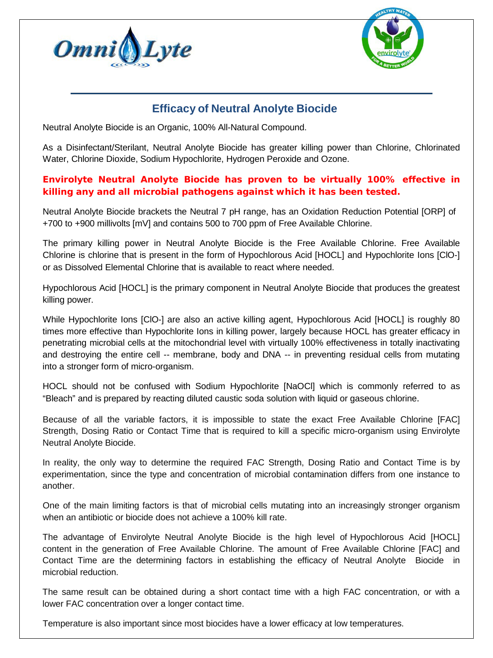



## **Efficacy of Neutral Anolyte Biocide**

Neutral Anolyte Biocide is an Organic, 100% All-Natural Compound.

As a Disinfectant/Sterilant, Neutral Anolyte Biocide has greater killing power than Chlorine, Chlorinated Water, Chlorine Dioxide, Sodium Hypochlorite, Hydrogen Peroxide and Ozone.

## **Envirolyte Neutral Anolyte Biocide has proven to be virtually 100% effective in killing any and all microbial pathogens against which it has been tested.**

Neutral Anolyte Biocide brackets the Neutral 7 pH range, has an Oxidation Reduction Potential [ORP] of +700 to +900 millivolts [mV] and contains 500 to 700 ppm of Free Available Chlorine.

The primary killing power in Neutral Anolyte Biocide is the Free Available Chlorine. Free Available Chlorine is chlorine that is present in the form of Hypochlorous Acid [HOCL] and Hypochlorite Ions [ClO-] or as Dissolved Elemental Chlorine that is available to react where needed.

Hypochlorous Acid [HOCL] is the primary component in Neutral Anolyte Biocide that produces the greatest killing power.

While Hypochlorite Ions [ClO-] are also an active killing agent, Hypochlorous Acid [HOCL] is roughly 80 times more effective than Hypochlorite Ions in killing power, largely because HOCL has greater efficacy in penetrating microbial cells at the mitochondrial level with virtually 100% effectiveness in totally inactivating and destroying the entire cell -- membrane, body and DNA -- in preventing residual cells from mutating into a stronger form of micro-organism.

HOCL should not be confused with Sodium Hypochlorite [NaOCl] which is commonly referred to as "Bleach" and is prepared by reacting diluted caustic soda solution with liquid or gaseous chlorine.

Because of all the variable factors, it is impossible to state the exact Free Available Chlorine [FAC] Strength, Dosing Ratio or Contact Time that is required to kill a specific micro-organism using Envirolyte Neutral Anolyte Biocide.

In reality, the only way to determine the required FAC Strength, Dosing Ratio and Contact Time is by experimentation, since the type and concentration of microbial contamination differs from one instance to another.

One of the main limiting factors is that of microbial cells mutating into an increasingly stronger organism when an antibiotic or biocide does not achieve a 100% kill rate.

The advantage of Envirolyte Neutral Anolyte Biocide is the high level of Hypochlorous Acid [HOCL] content in the generation of Free Available Chlorine. The amount of Free Available Chlorine [FAC] and Contact Time are the determining factors in establishing the efficacy of Neutral Anolyte Biocide in microbial reduction.

The same result can be obtained during a short contact time with a high FAC concentration, or with a lower FAC concentration over a longer contact time.

Temperature is also important since most biocides have a lower efficacy at low temperatures.